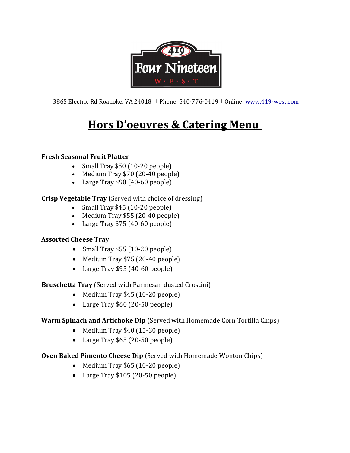

3865 Electric Rd Roanoke, VA 24018 │ Phone: 540-776-0419 │ Online: www.419-west.com

# Hors D'oeuvres & Catering Menu

#### Fresh Seasonal Fruit Platter

- $\bullet$  Small Tray \$50 (10-20 people)
- $\bullet$  Medium Tray \$70 (20-40 people)
- Large Tray \$90 (40-60 people)

# Crisp Vegetable Tray (Served with choice of dressing)

- $\bullet$  Small Tray \$45 (10-20 people)
- $\bullet$  Medium Tray \$55 (20-40 people)
- Large Tray \$75 (40-60 people)

# Assorted Cheese Tray

- Small Tray \$55 (10-20 people)
- $\bullet$  Medium Tray \$75 (20-40 people)
- Large Tray \$95 (40-60 people)

# Bruschetta Tray (Served with Parmesan dusted Crostini)

- $\bullet$  Medium Tray \$45 (10-20 people)
- Large Tray \$60 (20-50 people)

# Warm Spinach and Artichoke Dip (Served with Homemade Corn Tortilla Chips)

- Medium Tray \$40 (15-30 people)
- Large Tray \$65 (20-50 people)

# Oven Baked Pimento Cheese Dip (Served with Homemade Wonton Chips)

- $\bullet$  Medium Tray \$65 (10-20 people)
- Large Tray \$105 (20-50 people)